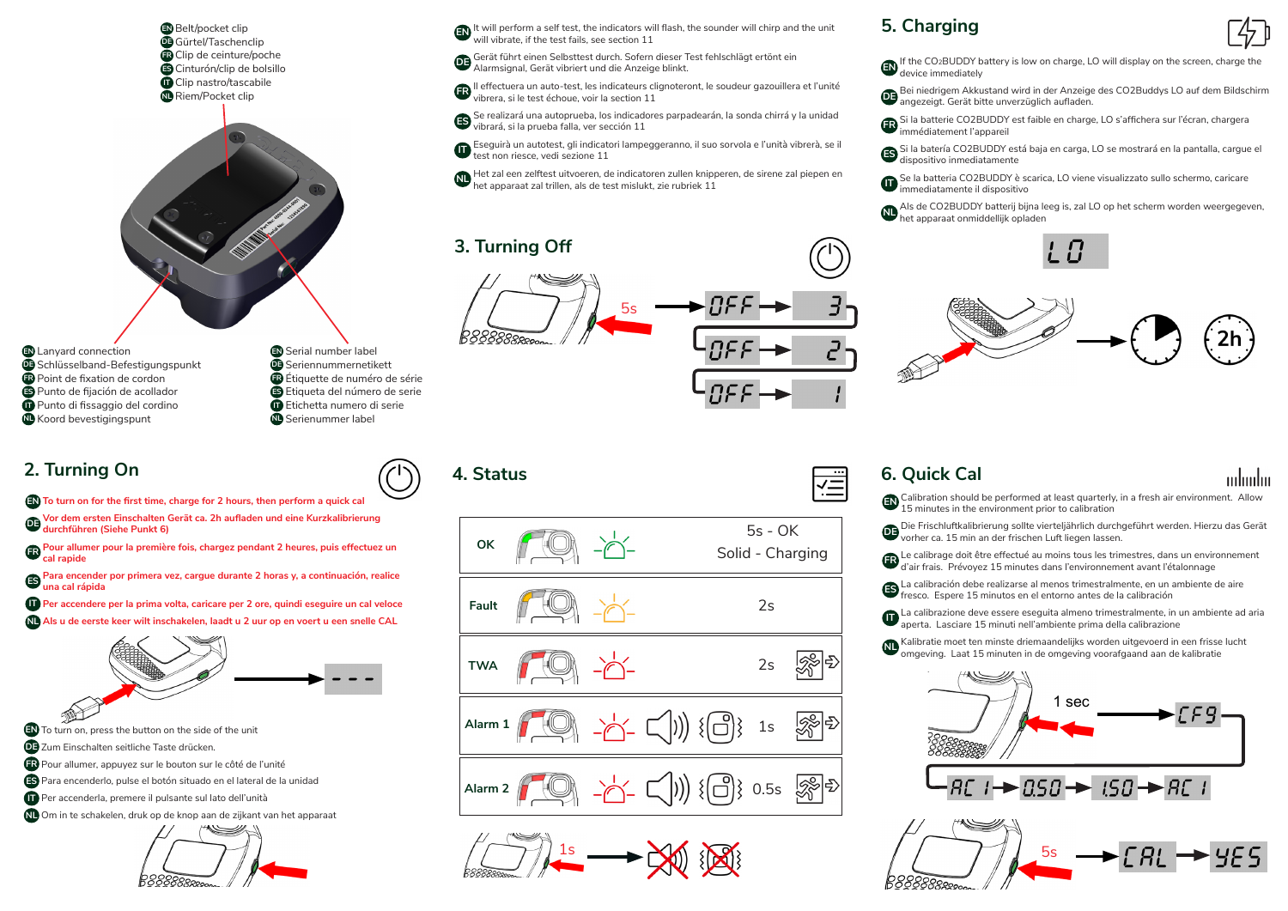Belt/pocket clip **EN** Gürtel/Taschenclip **DE** Clip de ceinture/poche **FR** Cinturón/clip de bolsillo **ES** Clip nastro/tascabile **IT** Riem/Pocket clip **NL**



- Lanyard connection **EN** Schlüsselband-Befestigungspunkt **DE** Point de fixation de cordon **FR** Punto de fijación de acollador **ES** Punto di fissaggio del cordino **IT**
- Seriennummernetikett **DE** Étiquette de numéro de série **FR** Etiqueta del número de serie **ES** Etichetta numero di serie **IT** Serienummer label **NL**

## **2. Turning On**

Koord bevestigingspunt **NL**

- **To turn on for the first time, charge for 2 hours, then perform a quick cal EN**
- **Vor dem ersten Einschalten Gerät ca. 2h aufladen und eine Kurzkalibrierung DE durchführen (Siehe Punkt 6)**
- **Pour allumer pour la première fois, chargez pendant 2 heures, puis effectuez un FR cal rapide**

**Para encender por primera vez, cargue durante 2 horas y, a continuación, realice ES una cal rápida**

- **Per accendere per la prima volta, caricare per 2 ore, quindi eseguire un cal veloce IT**
- **Als u de eerste keer wilt inschakelen, laadt u 2 uur op en voert u een snelle CAL NL**



- Pour allumer, appuyez sur le bouton sur le côté de l'unité **FR**
- Para encenderlo, pulse el botón situado en el lateral de la unidad **ES**
- Per accenderla, premere il pulsante sul lato dell'unità **IT**

Om in te schakelen, druk op de knop aan de zijkant van het apparaat **NL**



**EN** It will perform a self test, the indicators will flash, the sounder will chirp and the unit the unit will vibrate, if the test fails, see section 11

**DE** Gerät führt einen Selbsttest durch. Sofern dieser Test fehlschlägt ertönt ein der Alexander ein der Alexander ein der Alexander ein der Alexander ein der Alexander ein der Alexander ein der Alexander ein der Alexander Alarmsignal, Gerät vibriert und die Anzeige blinkt.

Il effectuera un auto-test, les indicateurs clignoteront, le soudeur gazouillera et l'unité **FR** vibrera, si le test échoue, voir la section 11

Se realizará una autoprueba, los indicadores parpadearán, la sonda chirrá y la unidad **ES** vibrará, si la prueba falla, ver sección 11

Eseguirà un autotest, gli indicatori lampeggeranno, il suo sorvola e l'unità vibrerà, se il test non riesce, vedi sezione 11 **IT**

Het zal een zelftest uitvoeren, de indicatoren zullen knipperen, de sirene zal piepen en het apparaat zal trillen, als de test mislukt, zie rubriek 11 **NL**

# **3. Turning Off**



**4. Status**





### **5. Charging**



mluulin

If the CO2BUDDY battery is low on charge, LO will display on the screen, charge the device immediately **EN**

- Bei niedrigem Akkustand wird in der Anzeige des CO2Buddys LO auf dem Bildschirm **DE** angezeigt. Gerät bitte unverzüglich aufladen.
- Si la batterie CO2BUDDY est faible en charge, LO s'affichera sur l'écran, chargera **FR** immédiatement l'appareil
- Si la batería CO2BUDDY está baja en carga, LO se mostrará en la pantalla, cargue el **ES** dispositivo inmediatamente

Se la batteria CO2BUDDY è scarica, LO viene visualizzato sullo schermo, caricare immediatamente il dispositivo 0

Als de CO2BUDDY batterij bijna leeg is, zal LO op het scherm worden weergegeven, het apparaat onmiddellijk opladen **NL**





## **6. Quick Cal**

 $\overline{\overline{\overline{H}}}$ 

**EN** Calibration should be performed at least quarterly, in a fresh air environment. Allow 15 minutes in the environment prior to calibration

- **DE** Die Frischluftkalibrierung sollte vierteljährlich durchgeführt werden. Hierzu das Gerät vorher ca. 15 min an der frischen Luft liegen lassen.
- **FR** Le calibrage doit être effectué au moins tous les trimestres, dans un environnement d'air frais. Prévoyez 15 minutes dans l'environnement avant l'étalonnage
- **ES** La calibración debe realizarse al menos trimestralmente, en un ambiente de aire fresco. Espere 15 minutos en el entorno antes de la calibración
- **IT** La calibrazione deve essere eseguita almeno trimestralmente, in un ambiente ad aria aperta. Lasciare 15 minuti nell'ambiente prima della calibrazione
- **NL** Kalibratie moet ten minste driemaandelijks worden uitgevoerd in een frisse lucht omgeving. Laat 15 minuten in de omgeving voorafgaand aan de kalibratie